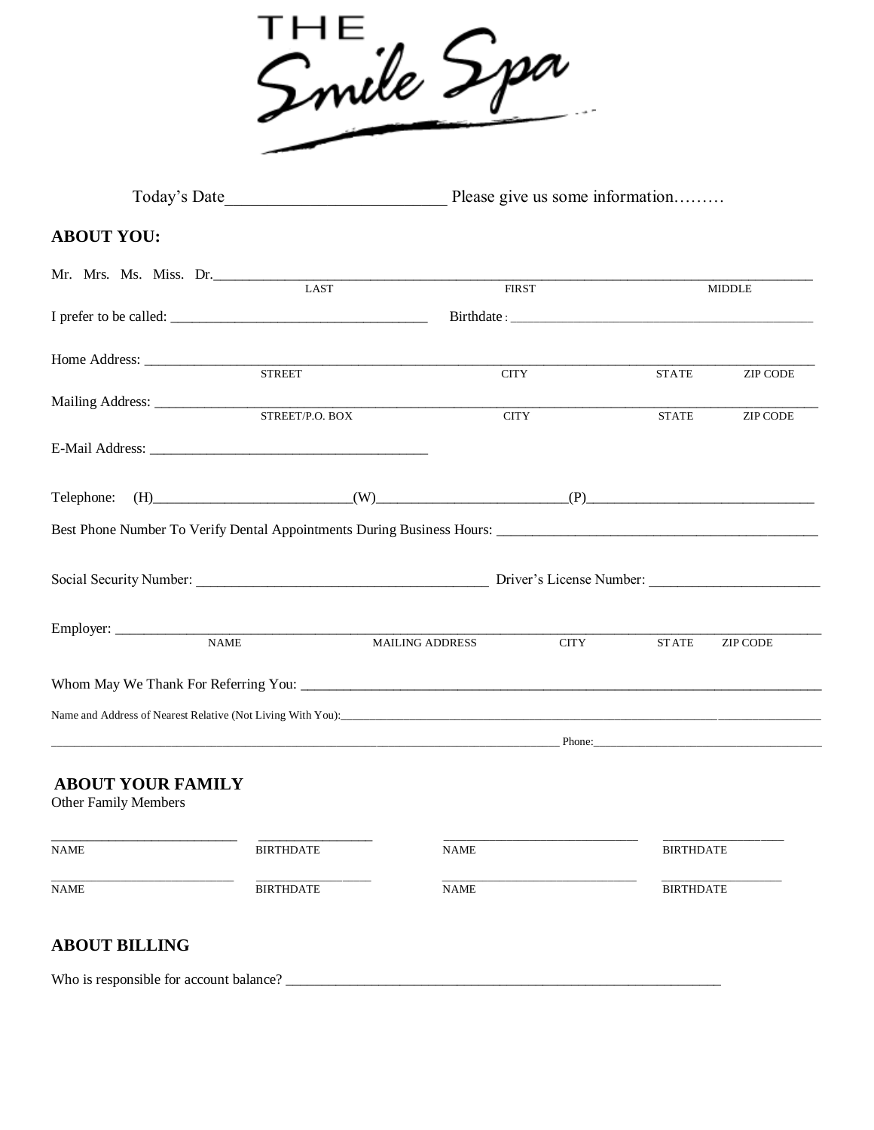

| Today's Date<br>Please give us some information         |                                                                                                                                                                                                                                                       |                        |             |                  |                                         |  |
|---------------------------------------------------------|-------------------------------------------------------------------------------------------------------------------------------------------------------------------------------------------------------------------------------------------------------|------------------------|-------------|------------------|-----------------------------------------|--|
| <b>ABOUT YOU:</b>                                       |                                                                                                                                                                                                                                                       |                        |             |                  |                                         |  |
| Mr. Mrs. Ms. Miss. Dr. LAST                             |                                                                                                                                                                                                                                                       |                        |             |                  |                                         |  |
|                                                         |                                                                                                                                                                                                                                                       | <b>FIRST</b>           |             |                  | <b>MIDDLE</b>                           |  |
|                                                         |                                                                                                                                                                                                                                                       |                        |             |                  |                                         |  |
|                                                         |                                                                                                                                                                                                                                                       |                        |             |                  |                                         |  |
|                                                         |                                                                                                                                                                                                                                                       | <b>CITY</b>            |             | <b>STATE</b>     | <b>ZIP CODE</b>                         |  |
|                                                         | STREET/P.O. BOX                                                                                                                                                                                                                                       | <b>CITY</b>            |             | <b>STATE</b>     | $\ensuremath{\mathrm{ZIP}}\xspace$ CODE |  |
|                                                         |                                                                                                                                                                                                                                                       |                        |             |                  |                                         |  |
| Telephone:                                              | $(W)$ (H) $(P)$ (P) $(P)$ (P) $(P)$ (P) $(P)$ (P) $(P)$ (P) $(P)$ (P) $(P)$ (P) $(P)$ (P) $(P)$ (P) $(P)$ (P) $(P)$ (P) $(P)$ (P) $(P)$ (P) $(P)$ (P) $(P)$ (P) $(P)$ (P) $(P)$ (P) $(P)$ (P) $(P)$ (P) $(P)$ (P) $(P)$ (P) $(P)$ (P) $(P)$ (P) $(P)$ |                        |             |                  |                                         |  |
|                                                         |                                                                                                                                                                                                                                                       |                        |             |                  |                                         |  |
|                                                         |                                                                                                                                                                                                                                                       |                        |             |                  |                                         |  |
|                                                         |                                                                                                                                                                                                                                                       |                        |             |                  |                                         |  |
|                                                         |                                                                                                                                                                                                                                                       |                        |             |                  |                                         |  |
|                                                         |                                                                                                                                                                                                                                                       | <b>MAILING ADDRESS</b> | <b>CITY</b> | <b>STATE</b>     | ZIP CODE                                |  |
|                                                         |                                                                                                                                                                                                                                                       |                        |             |                  |                                         |  |
|                                                         |                                                                                                                                                                                                                                                       |                        |             |                  |                                         |  |
|                                                         |                                                                                                                                                                                                                                                       |                        |             |                  |                                         |  |
| <b>ABOUT YOUR FAMILY</b><br><b>Other Family Members</b> |                                                                                                                                                                                                                                                       |                        |             |                  |                                         |  |
| <b>NAME</b>                                             | <b>BIRTHDATE</b>                                                                                                                                                                                                                                      | NAME                   |             | <b>BIRTHDATE</b> |                                         |  |
| <b>NAME</b>                                             | <b>BIRTHDATE</b>                                                                                                                                                                                                                                      | <b>NAME</b>            |             |                  | <b>BIRTHDATE</b>                        |  |
| <b>ABOUT BILLING</b>                                    |                                                                                                                                                                                                                                                       |                        |             |                  |                                         |  |

Who is responsible for account balance? \_\_\_\_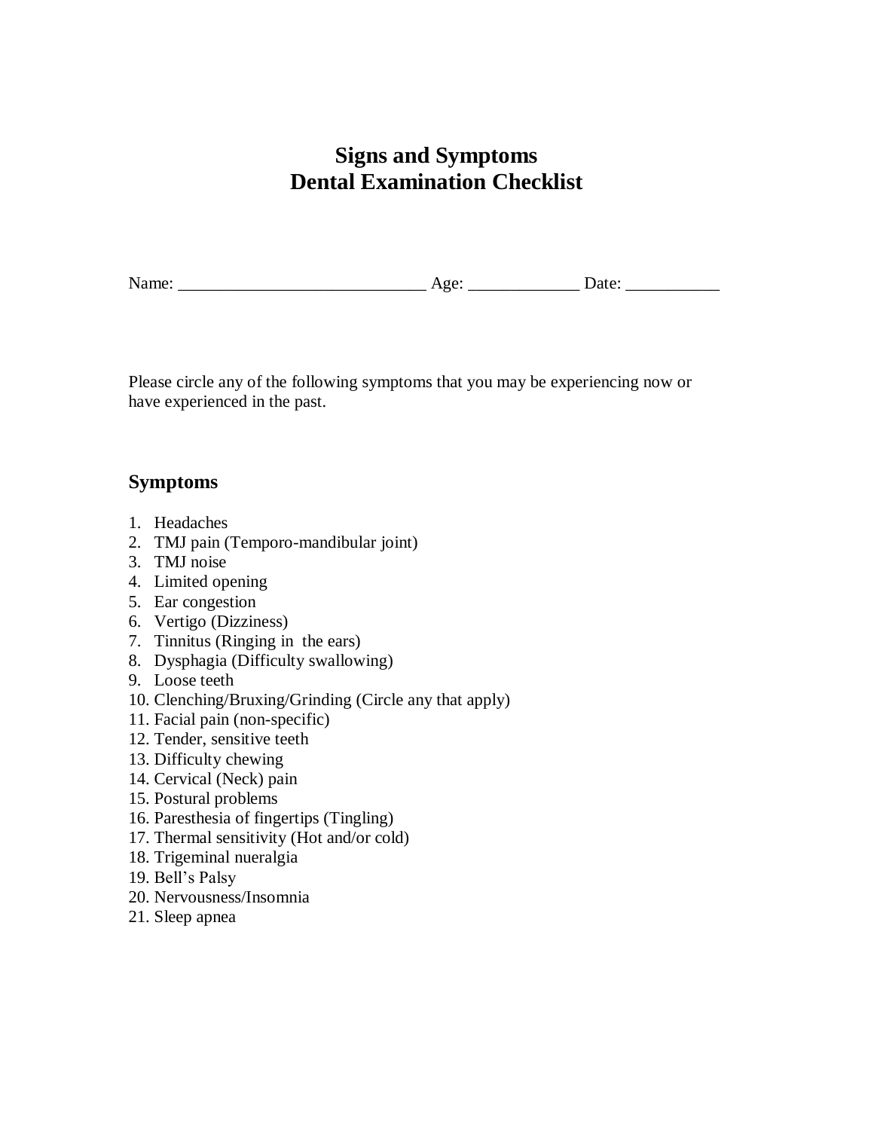## **Signs and Symptoms Dental Examination Checklist**

Name: \_\_\_\_\_\_\_\_\_\_\_\_\_\_\_\_\_\_\_\_\_\_\_\_\_\_\_\_\_ Age: \_\_\_\_\_\_\_\_\_\_\_\_\_ Date: \_\_\_\_\_\_\_\_\_\_\_

Please circle any of the following symptoms that you may be experiencing now or have experienced in the past.

#### **Symptoms**

- 1. Headaches
- 2. TMJ pain (Temporo-mandibular joint)
- 3. TMJ noise
- 4. Limited opening
- 5. Ear congestion
- 6. Vertigo (Dizziness)
- 7. Tinnitus (Ringing in the ears)
- 8. Dysphagia (Difficulty swallowing)
- 9. Loose teeth
- 10. Clenching/Bruxing/Grinding (Circle any that apply)
- 11. Facial pain (non-specific)
- 12. Tender, sensitive teeth
- 13. Difficulty chewing
- 14. Cervical (Neck) pain
- 15. Postural problems
- 16. Paresthesia of fingertips (Tingling)
- 17. Thermal sensitivity (Hot and/or cold)
- 18. Trigeminal nueralgia
- 19. Bell's Palsy
- 20. Nervousness/Insomnia
- 21. Sleep apnea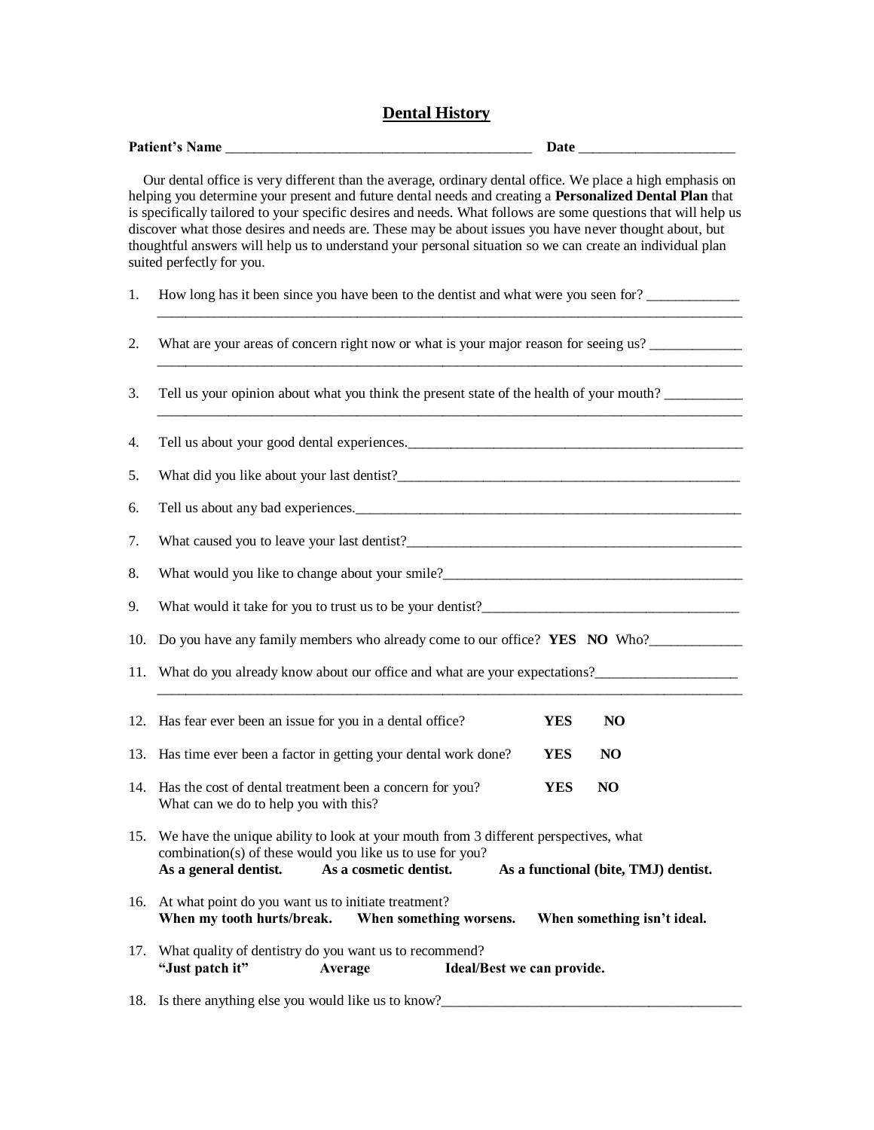#### **Dental History**

|     | Patient's Name                                                                                                                                                                                                                                                                                                                                                                                                                                                                                                                                                                             |  |  |
|-----|--------------------------------------------------------------------------------------------------------------------------------------------------------------------------------------------------------------------------------------------------------------------------------------------------------------------------------------------------------------------------------------------------------------------------------------------------------------------------------------------------------------------------------------------------------------------------------------------|--|--|
|     | Our dental office is very different than the average, ordinary dental office. We place a high emphasis on<br>helping you determine your present and future dental needs and creating a Personalized Dental Plan that<br>is specifically tailored to your specific desires and needs. What follows are some questions that will help us<br>discover what those desires and needs are. These may be about issues you have never thought about, but<br>thoughtful answers will help us to understand your personal situation so we can create an individual plan<br>suited perfectly for you. |  |  |
| 1.  | How long has it been since you have been to the dentist and what were you seen for?                                                                                                                                                                                                                                                                                                                                                                                                                                                                                                        |  |  |
| 2.  | What are your areas of concern right now or what is your major reason for seeing us?                                                                                                                                                                                                                                                                                                                                                                                                                                                                                                       |  |  |
| 3.  | Tell us your opinion about what you think the present state of the health of your mouth?                                                                                                                                                                                                                                                                                                                                                                                                                                                                                                   |  |  |
| 4.  |                                                                                                                                                                                                                                                                                                                                                                                                                                                                                                                                                                                            |  |  |
| 5.  |                                                                                                                                                                                                                                                                                                                                                                                                                                                                                                                                                                                            |  |  |
| 6.  | Tell us about any bad experiences.                                                                                                                                                                                                                                                                                                                                                                                                                                                                                                                                                         |  |  |
| 7.  |                                                                                                                                                                                                                                                                                                                                                                                                                                                                                                                                                                                            |  |  |
| 8.  |                                                                                                                                                                                                                                                                                                                                                                                                                                                                                                                                                                                            |  |  |
| 9.  |                                                                                                                                                                                                                                                                                                                                                                                                                                                                                                                                                                                            |  |  |
| 10. | Do you have any family members who already come to our office? YES NO Who?                                                                                                                                                                                                                                                                                                                                                                                                                                                                                                                 |  |  |
| 11. | What do you already know about our office and what are your expectations?                                                                                                                                                                                                                                                                                                                                                                                                                                                                                                                  |  |  |
|     | 12. Has fear ever been an issue for you in a dental office?<br><b>YES</b><br>N <sub>O</sub>                                                                                                                                                                                                                                                                                                                                                                                                                                                                                                |  |  |
|     | 13. Has time ever been a factor in getting your dental work done?<br><b>YES</b><br>N <sub>O</sub>                                                                                                                                                                                                                                                                                                                                                                                                                                                                                          |  |  |
|     | 14. Has the cost of dental treatment been a concern for you?<br><b>YES</b><br>NO.<br>What can we do to help you with this?                                                                                                                                                                                                                                                                                                                                                                                                                                                                 |  |  |
|     | 15. We have the unique ability to look at your mouth from 3 different perspectives, what<br>combination(s) of these would you like us to use for you?<br>As a cosmetic dentist.<br>As a general dentist.<br>As a functional (bite, TMJ) dentist.                                                                                                                                                                                                                                                                                                                                           |  |  |
|     | 16. At what point do you want us to initiate treatment?<br>When my tooth hurts/break.<br>When something worsens.<br>When something isn't ideal.                                                                                                                                                                                                                                                                                                                                                                                                                                            |  |  |
| 17. | What quality of dentistry do you want us to recommend?<br>"Just patch it"<br>Average<br>Ideal/Best we can provide.                                                                                                                                                                                                                                                                                                                                                                                                                                                                         |  |  |
|     | 18. Is there anything else you would like us to know?                                                                                                                                                                                                                                                                                                                                                                                                                                                                                                                                      |  |  |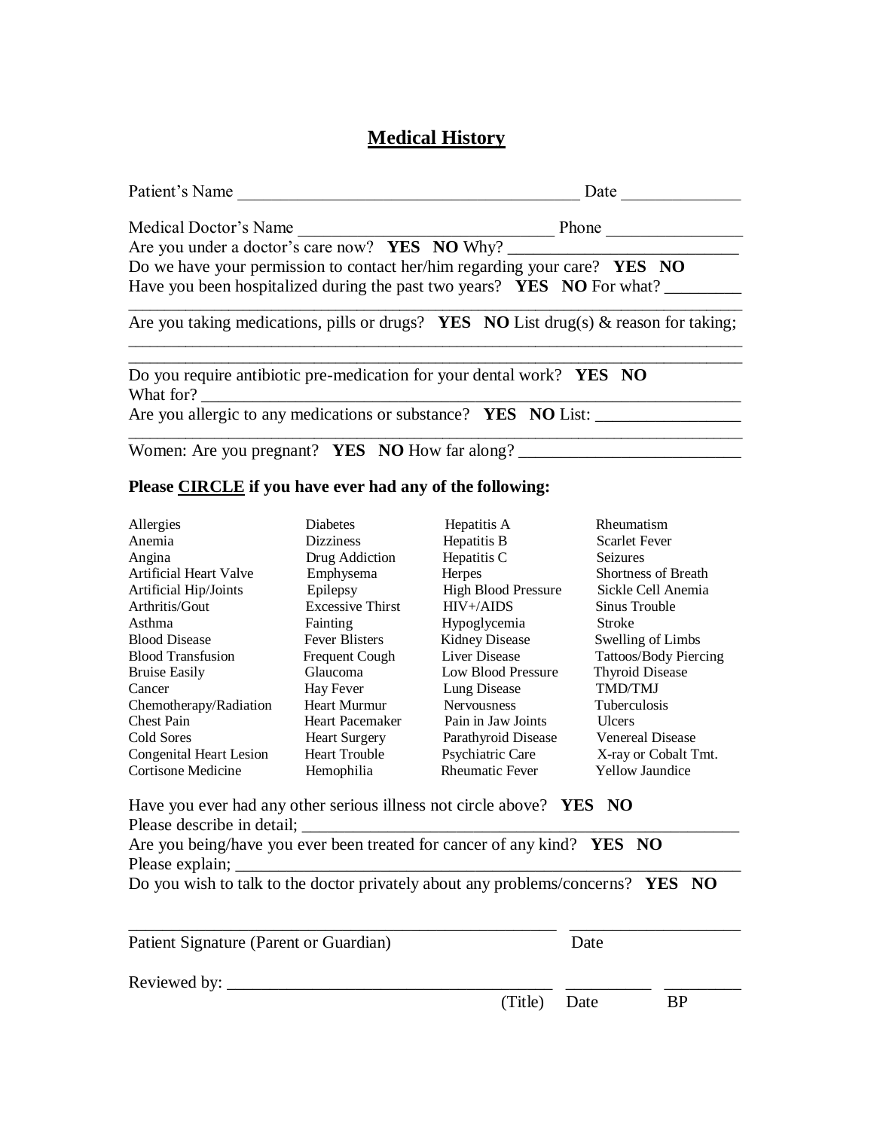### **Medical History**

| Patient's Name                                                                     | Date                                                                                        |
|------------------------------------------------------------------------------------|---------------------------------------------------------------------------------------------|
| Medical Doctor's Name                                                              | Phone                                                                                       |
| Are you under a doctor's care now? YES NO Why?                                     |                                                                                             |
|                                                                                    | Do we have your permission to contact her/him regarding your care? $YES$ NO                 |
|                                                                                    | Have you been hospitalized during the past two years? YES NO For what?                      |
|                                                                                    | Are you taking medications, pills or drugs? <b>YES</b> NO List drug(s) & reason for taking; |
| Do you require antibiotic pre-medication for your dental work? YES NO<br>What for? |                                                                                             |
| Are you allergic to any medications or substance? YES NO List:                     |                                                                                             |
| Women: Are you pregnant? YES NO How far along?                                     |                                                                                             |

#### **Please CIRCLE if you have ever had any of the following:**

| Allergies                      | Diabetes                | Hepatitis A                | Rheumatism              |
|--------------------------------|-------------------------|----------------------------|-------------------------|
| Anemia                         | <b>Dizziness</b>        | Hepatitis B                | <b>Scarlet Fever</b>    |
| Angina                         | Drug Addiction          | Hepatitis C                | <b>Seizures</b>         |
| <b>Artificial Heart Valve</b>  | Emphysema               | <b>Herpes</b>              | Shortness of Breath     |
| Artificial Hip/Joints          | Epilepsy                | <b>High Blood Pressure</b> | Sickle Cell Anemia      |
| Arthritis/Gout                 | <b>Excessive Thirst</b> | $HIV+ / AIDS$              | Sinus Trouble           |
| Asthma                         | Fainting                | Hypoglycemia               | Stroke                  |
| <b>Blood Disease</b>           | <b>Fever Blisters</b>   | Kidney Disease             | Swelling of Limbs       |
| <b>Blood Transfusion</b>       | Frequent Cough          | <b>Liver Disease</b>       | Tattoos/Body Piercing   |
| <b>Bruise Easily</b>           | Glaucoma                | Low Blood Pressure         | <b>Thyroid Disease</b>  |
| Cancer                         | Hay Fever               | Lung Disease               | <b>TMD/TMJ</b>          |
| Chemotherapy/Radiation         | <b>Heart Murmur</b>     | <b>Nervousness</b>         | <b>Tuberculosis</b>     |
| <b>Chest Pain</b>              | <b>Heart Pacemaker</b>  | Pain in Jaw Joints         | <b>U</b> lcers          |
| Cold Sores                     | <b>Heart Surgery</b>    | Parathyroid Disease        | <b>Venereal Disease</b> |
| <b>Congenital Heart Lesion</b> | <b>Heart Trouble</b>    | Psychiatric Care           | X-ray or Cobalt Tmt.    |
| Cortisone Medicine             | Hemophilia              | <b>Rheumatic Fever</b>     | <b>Yellow Jaundice</b>  |

Have you ever had any other serious illness not circle above? **YES NO**  Please describe in detail; \_\_\_\_\_\_\_\_\_\_\_\_\_\_\_\_\_\_\_\_\_\_\_\_\_\_\_\_\_\_\_\_\_\_\_\_\_\_\_\_\_\_\_\_\_\_\_\_\_\_\_

Are you being/have you ever been treated for cancer of any kind? **YES NO**  Please explain;

Do you wish to talk to the doctor privately about any problems/concerns? **YES NO**

| Patient Signature (Parent or Guardian) |              | Date |           |
|----------------------------------------|--------------|------|-----------|
|                                        |              |      |           |
|                                        | (Title) Date |      | <b>BP</b> |